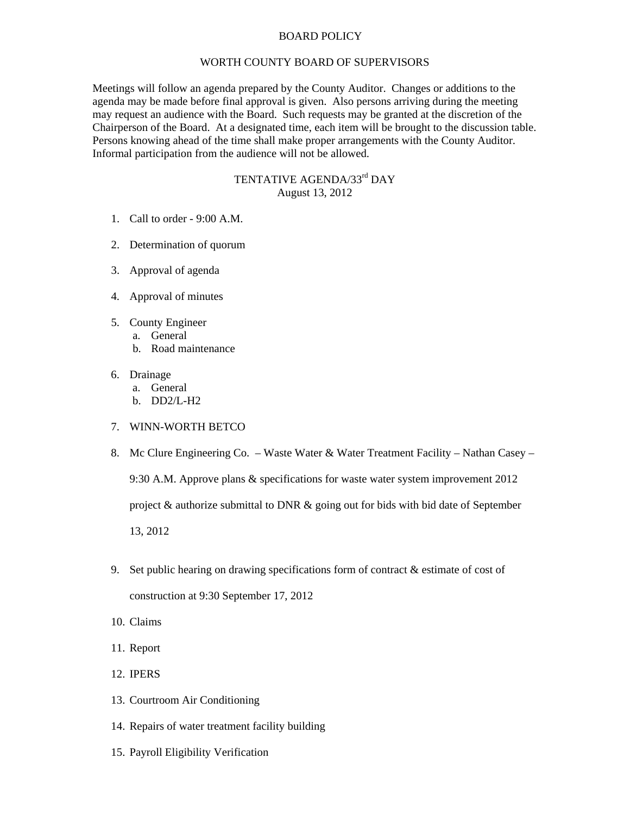## BOARD POLICY

## WORTH COUNTY BOARD OF SUPERVISORS

Meetings will follow an agenda prepared by the County Auditor. Changes or additions to the agenda may be made before final approval is given. Also persons arriving during the meeting may request an audience with the Board. Such requests may be granted at the discretion of the Chairperson of the Board. At a designated time, each item will be brought to the discussion table. Persons knowing ahead of the time shall make proper arrangements with the County Auditor. Informal participation from the audience will not be allowed.

## TENTATIVE AGENDA/33rd DAY August 13, 2012

- 1. Call to order 9:00 A.M.
- 2. Determination of quorum
- 3. Approval of agenda
- 4. Approval of minutes
- 5. County Engineer
	- a. General
		- b. Road maintenance
- 6. Drainage
	- a. General
	- b. DD2/L-H2
- 7. WINN-WORTH BETCO
- 8. Mc Clure Engineering Co. Waste Water & Water Treatment Facility Nathan Casey 9:30 A.M. Approve plans & specifications for waste water system improvement 2012 project & authorize submittal to DNR & going out for bids with bid date of September 13, 2012
- 9. Set public hearing on drawing specifications form of contract & estimate of cost of construction at 9:30 September 17, 2012
- 10. Claims
- 11. Report
- 12. IPERS
- 13. Courtroom Air Conditioning
- 14. Repairs of water treatment facility building
- 15. Payroll Eligibility Verification